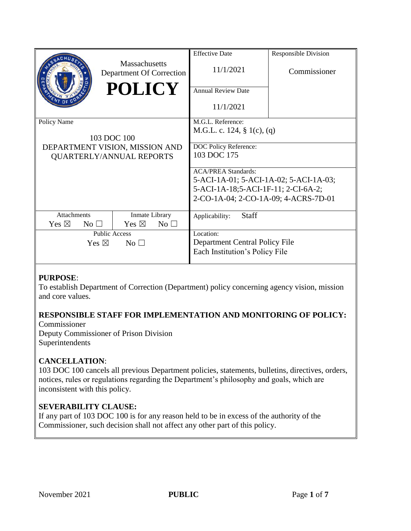|                                    |                                           | <b>Effective Date</b>                  | <b>Responsible Division</b> |
|------------------------------------|-------------------------------------------|----------------------------------------|-----------------------------|
|                                    | Massachusetts<br>Department Of Correction | 11/1/2021                              | Commissioner                |
|                                    | <b>POLICY</b>                             | <b>Annual Review Date</b>              |                             |
|                                    |                                           | 11/1/2021                              |                             |
| Policy Name                        |                                           | M.G.L. Reference:                      |                             |
|                                    |                                           | M.G.L. c. 124, $\S$ 1(c), (q)          |                             |
|                                    | 103 DOC 100                               |                                        |                             |
|                                    | DEPARTMENT VISION, MISSION AND            | DOC Policy Reference:                  |                             |
| <b>QUARTERLY/ANNUAL REPORTS</b>    |                                           | 103 DOC 175                            |                             |
|                                    |                                           | <b>ACA/PREA Standards:</b>             |                             |
|                                    |                                           | 5-ACI-1A-01; 5-ACI-1A-02; 5-ACI-1A-03; |                             |
|                                    |                                           | 5-ACI-1A-18;5-ACI-1F-11; 2-CI-6A-2;    |                             |
|                                    |                                           | 2-CO-1A-04; 2-CO-1A-09; 4-ACRS-7D-01   |                             |
| <b>Attachments</b>                 | Inmate Library                            | <b>Staff</b><br>Applicability:         |                             |
| Yes $\boxtimes$<br>No <sub>1</sub> | Yes $\boxtimes$<br>No <sub>1</sub>        |                                        |                             |
| <b>Public Access</b>               |                                           | Location:                              |                             |
| Yes $\boxtimes$<br>No <sub>1</sub> |                                           | Department Central Policy File         |                             |
|                                    |                                           | Each Institution's Policy File         |                             |
|                                    |                                           |                                        |                             |

## **PURPOSE**:

To establish Department of Correction (Department) policy concerning agency vision, mission and core values.

# **RESPONSIBLE STAFF FOR IMPLEMENTATION AND MONITORING OF POLICY:**

Commissioner Deputy Commissioner of Prison Division Superintendents

## **CANCELLATION**:

103 DOC 100 cancels all previous Department policies, statements, bulletins, directives, orders, notices, rules or regulations regarding the Department's philosophy and goals, which are inconsistent with this policy.

## **SEVERABILITY CLAUSE:**

If any part of 103 DOC 100 is for any reason held to be in excess of the authority of the Commissioner, such decision shall not affect any other part of this policy.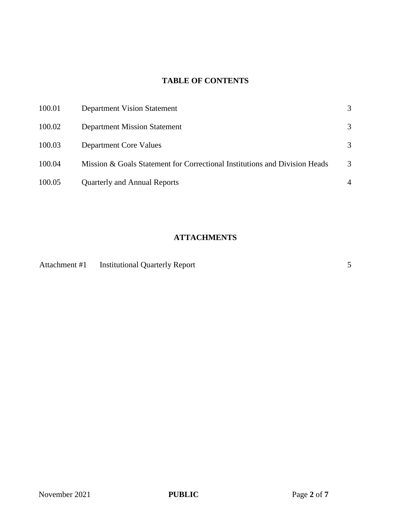# **TABLE OF CONTENTS**

| 100.01 | Department Vision Statement                                                |   |
|--------|----------------------------------------------------------------------------|---|
| 100.02 | <b>Department Mission Statement</b>                                        | 3 |
| 100.03 | Department Core Values                                                     | 3 |
| 100.04 | Mission & Goals Statement for Correctional Institutions and Division Heads | 3 |
| 100.05 | Quarterly and Annual Reports                                               |   |

# **ATTACHMENTS**

| Attachment #1 | <b>Institutional Quarterly Report</b> |  |
|---------------|---------------------------------------|--|
|               |                                       |  |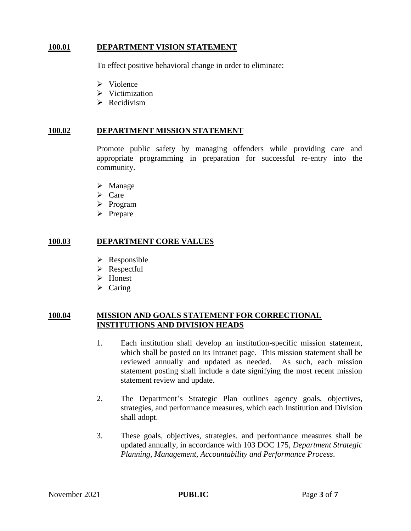## **100.01 DEPARTMENT VISION STATEMENT**

To effect positive behavioral change in order to eliminate:

- $\triangleright$  Violence
- $\triangleright$  Victimization
- $\triangleright$  Recidivism

#### **100.02 DEPARTMENT MISSION STATEMENT**

Promote public safety by managing offenders while providing care and appropriate programming in preparation for successful re-entry into the community.

- $\triangleright$  Manage
- $\triangleright$  Care
- $\triangleright$  Program
- $\triangleright$  Prepare

#### **100.03 DEPARTMENT CORE VALUES**

- $\triangleright$  Responsible
- **►** Respectful
- > Honest
- $\triangleright$  Caring

### **100.04 MISSION AND GOALS STATEMENT FOR CORRECTIONAL INSTITUTIONS AND DIVISION HEADS**

- 1. Each institution shall develop an institution-specific mission statement, which shall be posted on its Intranet page. This mission statement shall be reviewed annually and updated as needed. As such, each mission statement posting shall include a date signifying the most recent mission statement review and update.
- 2. The Department's Strategic Plan outlines agency goals, objectives, strategies, and performance measures, which each Institution and Division shall adopt.
- 3. These goals, objectives, strategies, and performance measures shall be updated annually, in accordance with 103 DOC 175, *Department Strategic Planning, Management, Accountability and Performance Process*.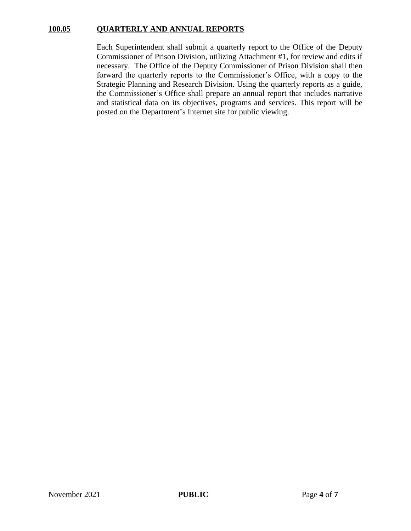### **100.05 QUARTERLY AND ANNUAL REPORTS**

Each Superintendent shall submit a quarterly report to the Office of the Deputy Commissioner of Prison Division, utilizing Attachment #1, for review and edits if necessary. The Office of the Deputy Commissioner of Prison Division shall then forward the quarterly reports to the Commissioner's Office, with a copy to the Strategic Planning and Research Division. Using the quarterly reports as a guide, the Commissioner's Office shall prepare an annual report that includes narrative and statistical data on its objectives, programs and services. This report will be posted on the Department's Internet site for public viewing.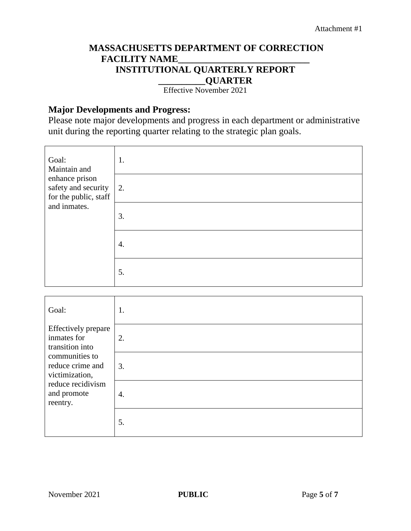# **MASSACHUSETTS DEPARTMENT OF CORRECTION FACILITY NAME\_\_\_\_\_\_\_\_\_\_\_\_\_\_\_\_\_\_\_\_\_\_\_\_\_\_\_\_ INSTITUTIONAL QUARTERLY REPORT \_\_\_\_\_\_\_\_\_\_QUARTER**

Effective November 2021

# **Major Developments and Progress:**

Please note major developments and progress in each department or administrative unit during the reporting quarter relating to the strategic plan goals.

| Goal:<br>Maintain and<br>enhance prison<br>safety and security<br>for the public, staff<br>and inmates. | 1. |
|---------------------------------------------------------------------------------------------------------|----|
|                                                                                                         | 2. |
|                                                                                                         | 3. |
|                                                                                                         | 4. |
|                                                                                                         | 5. |

| Goal:                                                                                                | 1. |
|------------------------------------------------------------------------------------------------------|----|
| <b>Effectively</b> prepare<br>inmates for<br>transition into                                         | 2. |
| communities to<br>reduce crime and<br>victimization,<br>reduce recidivism<br>and promote<br>reentry. | 3. |
|                                                                                                      | 4. |
|                                                                                                      | 5. |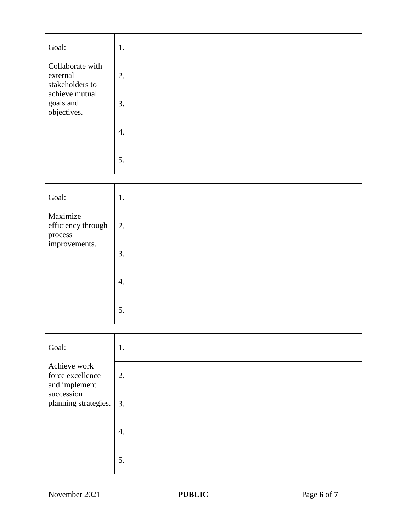| Goal:                                           | 1. |
|-------------------------------------------------|----|
| Collaborate with<br>external<br>stakeholders to | 2. |
| achieve mutual<br>goals and<br>objectives.      | 3. |
|                                                 | 4. |
|                                                 | 5. |

| Goal:                                     | 1. |
|-------------------------------------------|----|
| Maximize<br>efficiency through<br>process | 2. |
| improvements.                             | 3. |
|                                           | 4. |
|                                           | 5. |

| Goal:                                             | 1. |
|---------------------------------------------------|----|
| Achieve work<br>force excellence<br>and implement | 2. |
| succession<br>planning strategies.                | 3. |
|                                                   | 4. |
|                                                   | 5. |